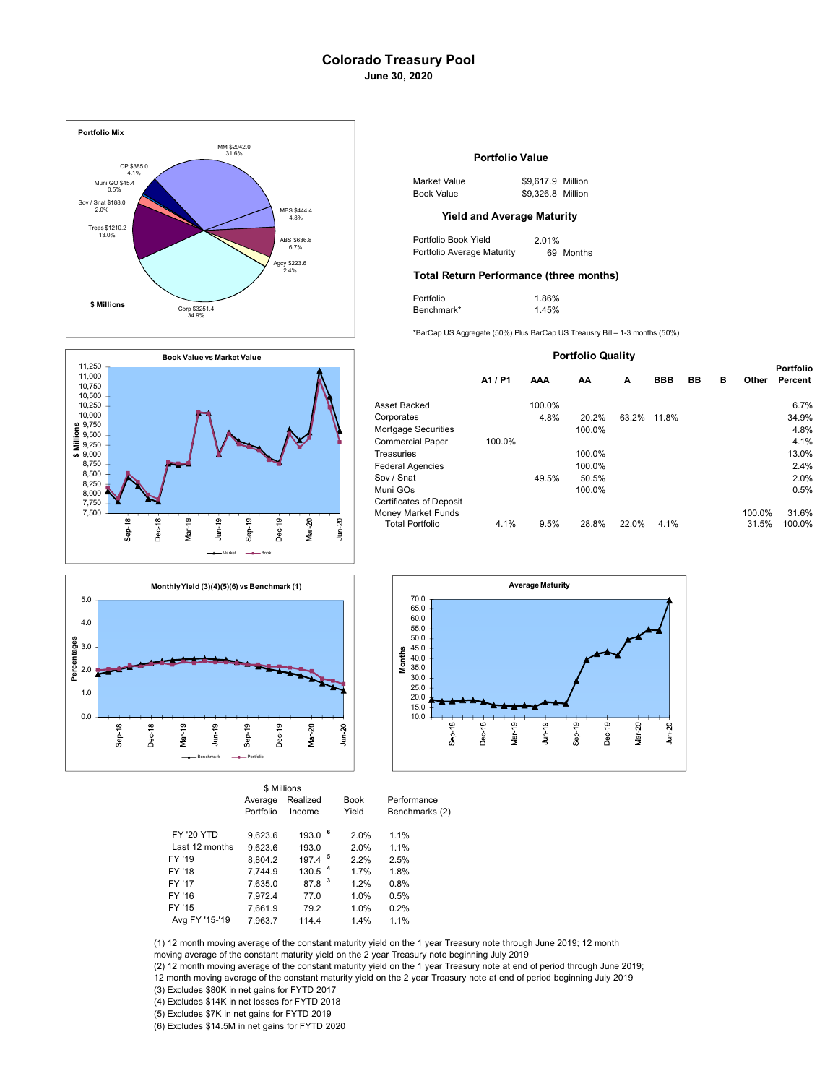## **Colorado Treasury Pool June 30, 2020**







| \$ Millions       |           |                      |             |       |  |  |  |  |
|-------------------|-----------|----------------------|-------------|-------|--|--|--|--|
|                   | Average   | Realized             | <b>Book</b> | Perfo |  |  |  |  |
|                   | Portfolio | Income               | Yield       | Bencl |  |  |  |  |
| <b>FY '20 YTD</b> | 9.623.6   | 193.0                | 6<br>2.0%   | 1.1%  |  |  |  |  |
| Last 12 months    | 9.623.6   | 193.0                | 2.0%        | 1.1%  |  |  |  |  |
| FY '19            | 8.804.2   | $197.4$ <sup>5</sup> | 2.2%        | 2.5%  |  |  |  |  |
| FY '18            | 7.744.9   | 130.5                | 1.7%        | 1.8%  |  |  |  |  |
| FY '17            | 7.635.0   | 87.8                 | 1.2%        | 0.8%  |  |  |  |  |
| FY '16            | 7,972.4   | 77.0                 | 1.0%        | 0.5%  |  |  |  |  |
| FY '15            | 7.661.9   | 79.2                 | 1.0%        | 0.2%  |  |  |  |  |
| Avg FY '15-'19    | 7.963.7   | 114.4                | 1.4%        | 1.1%  |  |  |  |  |



| Market Value | \$9.617.9 Million |  |
|--------------|-------------------|--|
| Book Value   | \$9.326.8 Million |  |

#### **Yield and Average Maturity**

| Portfolio Book Yield       | 2.01%     |
|----------------------------|-----------|
| Portfolio Average Maturity | 69 Months |

### **Total Return Performance (three months)**

| Portfolio  | 1.86% |
|------------|-------|
| Benchmark* | 1.45% |

\*BarCap US Aggregate (50%) Plus BarCap US Treausry Bill – 1-3 months (50%)

| <b>Portfolio Quality</b>                                                |         |            |        |       |            |    |   |                 |                             |
|-------------------------------------------------------------------------|---------|------------|--------|-------|------------|----|---|-----------------|-----------------------------|
|                                                                         | A1 / P1 | <b>AAA</b> | AA     | A     | <b>BBB</b> | BB | в | Other           | <b>Portfolio</b><br>Percent |
| Asset Backed                                                            |         | 100.0%     |        |       |            |    |   |                 | 6.7%                        |
| Corporates                                                              |         | 4.8%       | 20.2%  | 63.2% | 11.8%      |    |   |                 | 34.9%                       |
| Mortgage Securities                                                     |         |            | 100.0% |       |            |    |   |                 | 4.8%                        |
| <b>Commercial Paper</b>                                                 | 100.0%  |            |        |       |            |    |   |                 | 4.1%                        |
| Treasuries                                                              |         |            | 100.0% |       |            |    |   |                 | 13.0%                       |
| <b>Federal Agencies</b>                                                 |         |            | 100.0% |       |            |    |   |                 | 2.4%                        |
| Sov / Snat                                                              |         | 49.5%      | 50.5%  |       |            |    |   |                 | 2.0%                        |
| Muni GOs                                                                |         |            | 100.0% |       |            |    |   |                 | 0.5%                        |
| Certificates of Deposit<br>Money Market Funds<br><b>Total Portfolio</b> | 4.1%    | 9.5%       | 28.8%  | 22.0% | 4.1%       |    |   | 100.0%<br>31.5% | 31.6%<br>100.0%             |
|                                                                         |         |            |        |       |            |    |   |                 |                             |



erformance enchmarks (2)

| FY '19         | 8.804.2 | $197.4$ <sup>5</sup> | 22%  | 2.5%   |  |
|----------------|---------|----------------------|------|--------|--|
| FY '18         | 7.744.9 | 130.5 <sup>4</sup>   | 1 7% | 1.8%   |  |
| FY '17         | 7.635.0 | 87.8 <sup>3</sup>    | 12%  | 0.8%   |  |
| FY '16         | 7.972.4 | 77.0                 | 1.0% | 0.5%   |  |
| FY '15         | 7.661.9 | 79.2                 | 1.0% | 0.2%   |  |
| Avg FY '15-'19 | 7.963.7 | 114.4                | 14%  | $11\%$ |  |
|                |         |                      |      |        |  |

(1) 12 month moving average of the constant maturity yield on the 1 year Treasury note through June 2019; 12 month moving average of the constant maturity yield on the 2 year Treasury note beginning July 2019

(2) 12 month moving average of the constant maturity yield on the 1 year Treasury note at end of period through June 2019; 12 month moving average of the constant maturity yield on the 2 year Treasury note at end of period beginning July 2019

(3) Excludes \$80K in net gains for FYTD 2017

(4) Excludes \$14K in net losses for FYTD 2018

(5) Excludes \$7K in net gains for FYTD 2019

(6) Excludes \$14.5M in net gains for FYTD 2020